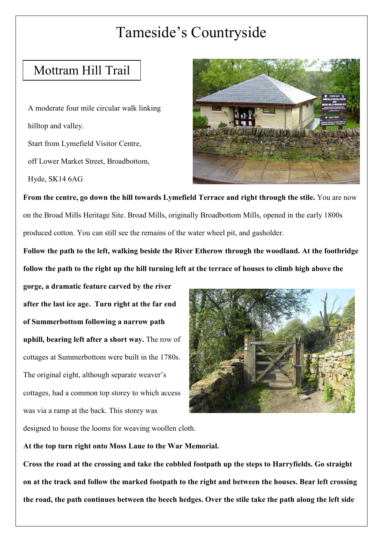## Tameside's Countryside

## Mottram Hill Trail

 A moderate four mile circular walk linking hilltop and valley. Start from Lymefield Visitor Centre, off Lower Market Street, Broadbottom, Hyde, SK14 6AG



From the centre, go down the hill towards Lymefield Terrace and right through the stile. You are now on the Broad Mills Heritage Site. Broad Mills, originally Broadbottom Mills, opened in the early 1800s produced cotton. You can still see the remains of the water wheel pit, and gasholder.

Follow the path to the left, walking beside the River Etherow through the woodland. At the footbridge follow the path to the right up the hill turning left at the terrace of houses to climb high above the

 **gorge, a dramatic feature carved by the river after the last ice age. Turn right at the far end of Summerbottom following a narrow path uphill, bearing left after a short way.** The row of cottages at Summerbottom were built in the 1780s. The original eight, although separate weaver's cottages, had a common top storey to which access was via a ramp at the back. This storey was



designed to house the looms for weaving woollen cloth.

 **At the top turn right onto Moss Lane to the War Memorial.**

Cross the road at the crossing and take the cobbled footpath up the steps to Harryfields. Go straight on at the track and follow the marked footpath to the right and between the houses. Bear left crossing the road, the path continues between the beech hedges. Over the stile take the path along the left side